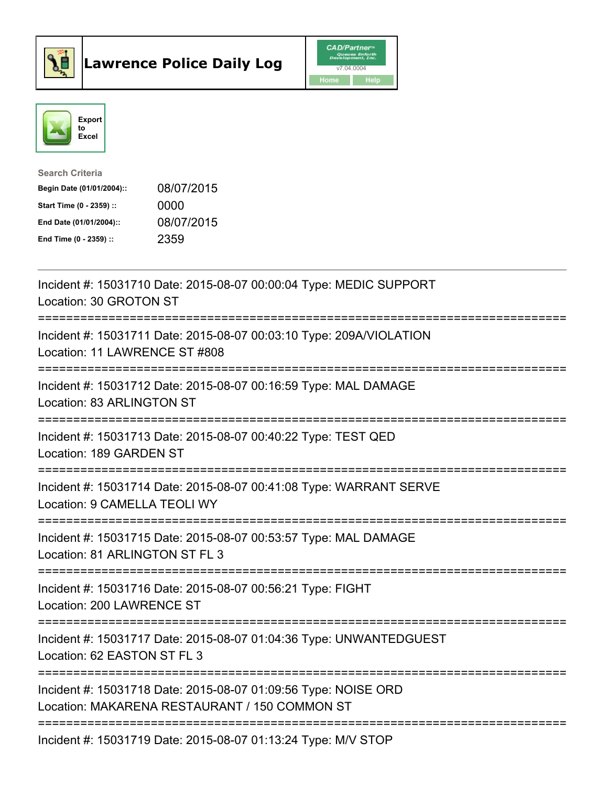



| <b>Search Criteria</b>    |            |
|---------------------------|------------|
| Begin Date (01/01/2004):: | 08/07/2015 |
| Start Time (0 - 2359) ::  | 0000       |
| End Date (01/01/2004)::   | 08/07/2015 |
| End Time (0 - 2359) ::    | 2359       |

| Incident #: 15031710 Date: 2015-08-07 00:00:04 Type: MEDIC SUPPORT<br>Location: 30 GROTON ST                                 |
|------------------------------------------------------------------------------------------------------------------------------|
| Incident #: 15031711 Date: 2015-08-07 00:03:10 Type: 209A/VIOLATION<br>Location: 11 LAWRENCE ST #808                         |
| Incident #: 15031712 Date: 2015-08-07 00:16:59 Type: MAL DAMAGE<br>Location: 83 ARLINGTON ST                                 |
| Incident #: 15031713 Date: 2015-08-07 00:40:22 Type: TEST QED<br>Location: 189 GARDEN ST                                     |
| Incident #: 15031714 Date: 2015-08-07 00:41:08 Type: WARRANT SERVE<br>Location: 9 CAMELLA TEOLI WY                           |
| =======================<br>Incident #: 15031715 Date: 2015-08-07 00:53:57 Type: MAL DAMAGE<br>Location: 81 ARLINGTON ST FL 3 |
| ------------------------<br>Incident #: 15031716 Date: 2015-08-07 00:56:21 Type: FIGHT<br>Location: 200 LAWRENCE ST          |
| Incident #: 15031717 Date: 2015-08-07 01:04:36 Type: UNWANTEDGUEST<br>Location: 62 EASTON ST FL 3                            |
| Incident #: 15031718 Date: 2015-08-07 01:09:56 Type: NOISE ORD<br>Location: MAKARENA RESTAURANT / 150 COMMON ST              |
| Incident #: 15031719 Date: 2015-08-07 01:13:24 Type: M/V STOP                                                                |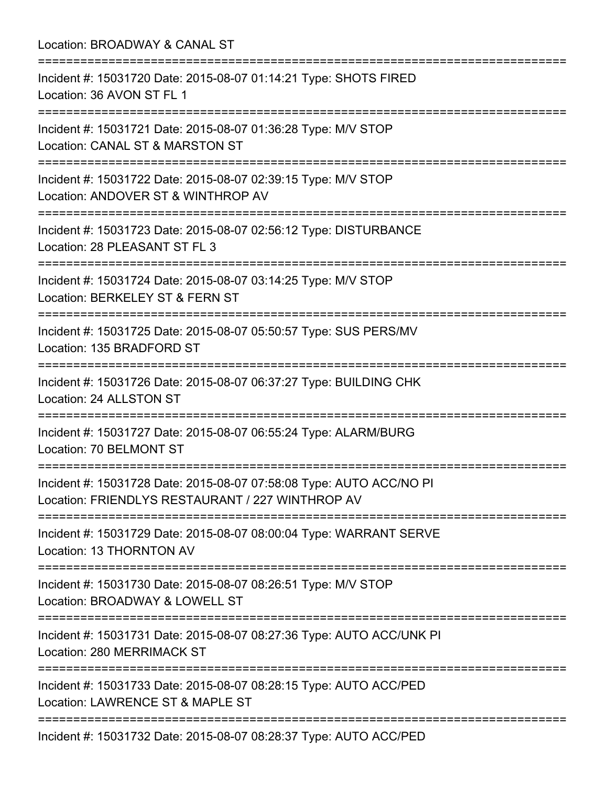Location: BROADWAY & CANAL ST

| ;==================================<br>===============================                                                               |
|--------------------------------------------------------------------------------------------------------------------------------------|
| Incident #: 15031720 Date: 2015-08-07 01:14:21 Type: SHOTS FIRED<br>Location: 36 AVON ST FL 1<br>=================================== |
| Incident #: 15031721 Date: 2015-08-07 01:36:28 Type: M/V STOP<br>Location: CANAL ST & MARSTON ST                                     |
| Incident #: 15031722 Date: 2015-08-07 02:39:15 Type: M/V STOP<br>Location: ANDOVER ST & WINTHROP AV<br>----------------------------- |
| Incident #: 15031723 Date: 2015-08-07 02:56:12 Type: DISTURBANCE<br>Location: 28 PLEASANT ST FL 3                                    |
| Incident #: 15031724 Date: 2015-08-07 03:14:25 Type: M/V STOP<br>Location: BERKELEY ST & FERN ST                                     |
| Incident #: 15031725 Date: 2015-08-07 05:50:57 Type: SUS PERS/MV<br>Location: 135 BRADFORD ST                                        |
| Incident #: 15031726 Date: 2015-08-07 06:37:27 Type: BUILDING CHK<br>Location: 24 ALLSTON ST<br>==============================       |
| Incident #: 15031727 Date: 2015-08-07 06:55:24 Type: ALARM/BURG<br>Location: 70 BELMONT ST                                           |
| Incident #: 15031728 Date: 2015-08-07 07:58:08 Type: AUTO ACC/NO PI<br>Location: FRIENDLYS RESTAURANT / 227 WINTHROP AV              |
| Incident #: 15031729 Date: 2015-08-07 08:00:04 Type: WARRANT SERVE<br>Location: 13 THORNTON AV                                       |
| Incident #: 15031730 Date: 2015-08-07 08:26:51 Type: M/V STOP<br>Location: BROADWAY & LOWELL ST<br>---------------------             |
| Incident #: 15031731 Date: 2015-08-07 08:27:36 Type: AUTO ACC/UNK PI<br>Location: 280 MERRIMACK ST                                   |
| Incident #: 15031733 Date: 2015-08-07 08:28:15 Type: AUTO ACC/PED<br>Location: LAWRENCE ST & MAPLE ST                                |
| Incident #: 15031732 Date: 2015-08-07 08:28:37 Type: AUTO ACC/PED                                                                    |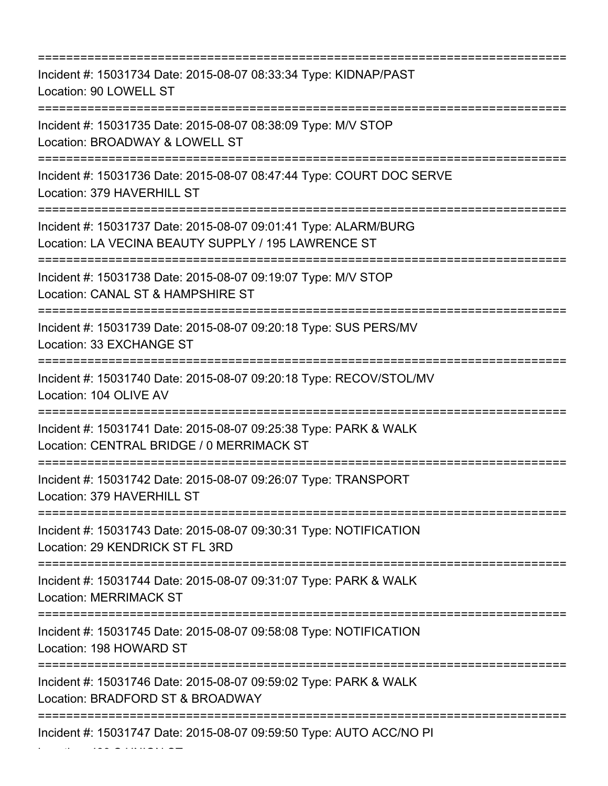=========================================================================== Incident #: 15031734 Date: 2015-08-07 08:33:34 Type: KIDNAP/PAST Location: 90 LOWELL ST =========================================================================== Incident #: 15031735 Date: 2015-08-07 08:38:09 Type: M/V STOP Location: BROADWAY & LOWELL ST =========================================================================== Incident #: 15031736 Date: 2015-08-07 08:47:44 Type: COURT DOC SERVE Location: 379 HAVERHILL ST =========================================================================== Incident #: 15031737 Date: 2015-08-07 09:01:41 Type: ALARM/BURG Location: LA VECINA BEAUTY SUPPLY / 195 LAWRENCE ST =========================================================================== Incident #: 15031738 Date: 2015-08-07 09:19:07 Type: M/V STOP Location: CANAL ST & HAMPSHIRE ST =========================================================================== Incident #: 15031739 Date: 2015-08-07 09:20:18 Type: SUS PERS/MV Location: 33 EXCHANGE ST =========================================================================== Incident #: 15031740 Date: 2015-08-07 09:20:18 Type: RECOV/STOL/MV Location: 104 OLIVE AV =========================================================================== Incident #: 15031741 Date: 2015-08-07 09:25:38 Type: PARK & WALK Location: CENTRAL BRIDGE / 0 MERRIMACK ST =========================================================================== Incident #: 15031742 Date: 2015-08-07 09:26:07 Type: TRANSPORT Location: 379 HAVERHILL ST =========================================================================== Incident #: 15031743 Date: 2015-08-07 09:30:31 Type: NOTIFICATION Location: 29 KENDRICK ST FL 3RD =========================================================================== Incident #: 15031744 Date: 2015-08-07 09:31:07 Type: PARK & WALK Location: MERRIMACK ST =========================================================================== Incident #: 15031745 Date: 2015-08-07 09:58:08 Type: NOTIFICATION Location: 198 HOWARD ST =========================================================================== Incident #: 15031746 Date: 2015-08-07 09:59:02 Type: PARK & WALK Location: BRADFORD ST & BROADWAY =========================================================================== Incident #: 15031747 Date: 2015-08-07 09:59:50 Type: AUTO ACC/NO PI

Location: 439 S UNION ST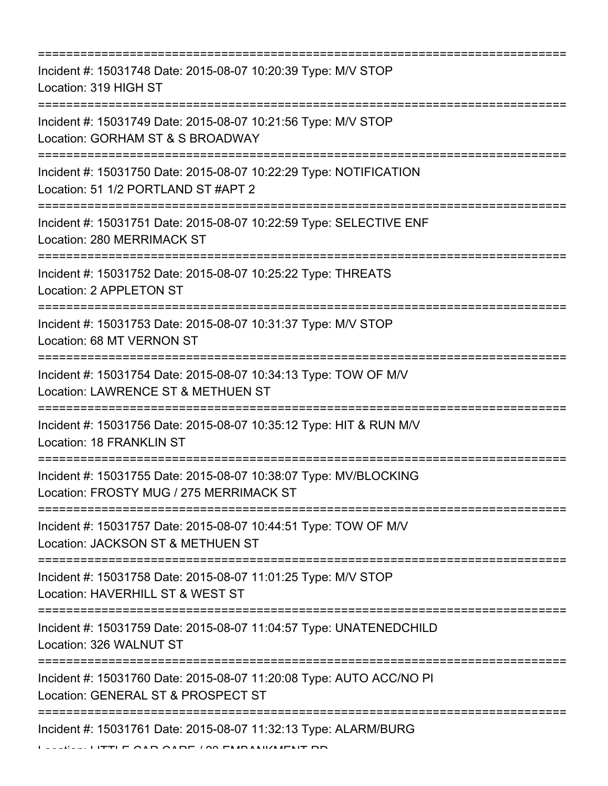| Incident #: 15031748 Date: 2015-08-07 10:20:39 Type: M/V STOP<br>Location: 319 HIGH ST                      |
|-------------------------------------------------------------------------------------------------------------|
| Incident #: 15031749 Date: 2015-08-07 10:21:56 Type: M/V STOP<br>Location: GORHAM ST & S BROADWAY           |
| Incident #: 15031750 Date: 2015-08-07 10:22:29 Type: NOTIFICATION<br>Location: 51 1/2 PORTLAND ST #APT 2    |
| Incident #: 15031751 Date: 2015-08-07 10:22:59 Type: SELECTIVE ENF<br>Location: 280 MERRIMACK ST            |
| Incident #: 15031752 Date: 2015-08-07 10:25:22 Type: THREATS<br>Location: 2 APPLETON ST                     |
| Incident #: 15031753 Date: 2015-08-07 10:31:37 Type: M/V STOP<br>Location: 68 MT VERNON ST                  |
| Incident #: 15031754 Date: 2015-08-07 10:34:13 Type: TOW OF M/V<br>Location: LAWRENCE ST & METHUEN ST       |
| Incident #: 15031756 Date: 2015-08-07 10:35:12 Type: HIT & RUN M/V<br>Location: 18 FRANKLIN ST              |
| Incident #: 15031755 Date: 2015-08-07 10:38:07 Type: MV/BLOCKING<br>Location: FROSTY MUG / 275 MERRIMACK ST |
| Incident #: 15031757 Date: 2015-08-07 10:44:51 Type: TOW OF M/V<br>Location: JACKSON ST & METHUEN ST        |
| Incident #: 15031758 Date: 2015-08-07 11:01:25 Type: M/V STOP<br>Location: HAVERHILL ST & WEST ST           |
| Incident #: 15031759 Date: 2015-08-07 11:04:57 Type: UNATENEDCHILD<br>Location: 326 WALNUT ST               |
| Incident #: 15031760 Date: 2015-08-07 11:20:08 Type: AUTO ACC/NO PI<br>Location: GENERAL ST & PROSPECT ST   |
| Incident #: 15031761 Date: 2015-08-07 11:32:13 Type: ALARM/BURG                                             |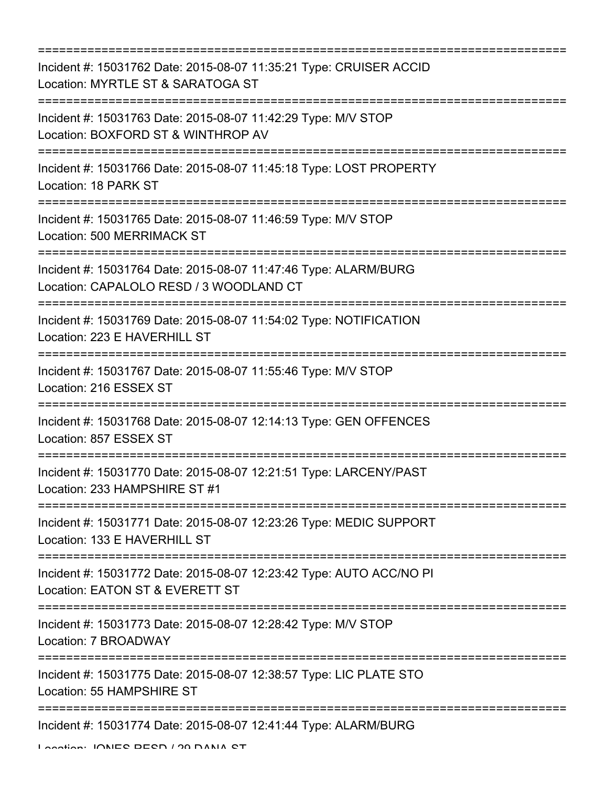=========================================================================== Incident #: 15031762 Date: 2015-08-07 11:35:21 Type: CRUISER ACCID Location: MYRTLE ST & SARATOGA ST =========================================================================== Incident #: 15031763 Date: 2015-08-07 11:42:29 Type: M/V STOP Location: BOXFORD ST & WINTHROP AV =========================================================================== Incident #: 15031766 Date: 2015-08-07 11:45:18 Type: LOST PROPERTY Location: 18 PARK ST =========================================================================== Incident #: 15031765 Date: 2015-08-07 11:46:59 Type: M/V STOP Location: 500 MERRIMACK ST =========================================================================== Incident #: 15031764 Date: 2015-08-07 11:47:46 Type: ALARM/BURG Location: CAPALOLO RESD / 3 WOODLAND CT =========================================================================== Incident #: 15031769 Date: 2015-08-07 11:54:02 Type: NOTIFICATION Location: 223 E HAVERHILL ST =========================================================================== Incident #: 15031767 Date: 2015-08-07 11:55:46 Type: M/V STOP Location: 216 ESSEX ST =========================================================================== Incident #: 15031768 Date: 2015-08-07 12:14:13 Type: GEN OFFENCES Location: 857 ESSEX ST =========================================================================== Incident #: 15031770 Date: 2015-08-07 12:21:51 Type: LARCENY/PAST Location: 233 HAMPSHIRE ST #1 =========================================================================== Incident #: 15031771 Date: 2015-08-07 12:23:26 Type: MEDIC SUPPORT Location: 133 E HAVERHILL ST =========================================================================== Incident #: 15031772 Date: 2015-08-07 12:23:42 Type: AUTO ACC/NO PI Location: EATON ST & EVERETT ST =========================================================================== Incident #: 15031773 Date: 2015-08-07 12:28:42 Type: M/V STOP Location: 7 BROADWAY =========================================================================== Incident #: 15031775 Date: 2015-08-07 12:38:57 Type: LIC PLATE STO Location: 55 HAMPSHIRE ST =========================================================================== Incident #: 15031774 Date: 2015-08-07 12:41:44 Type: ALARM/BURG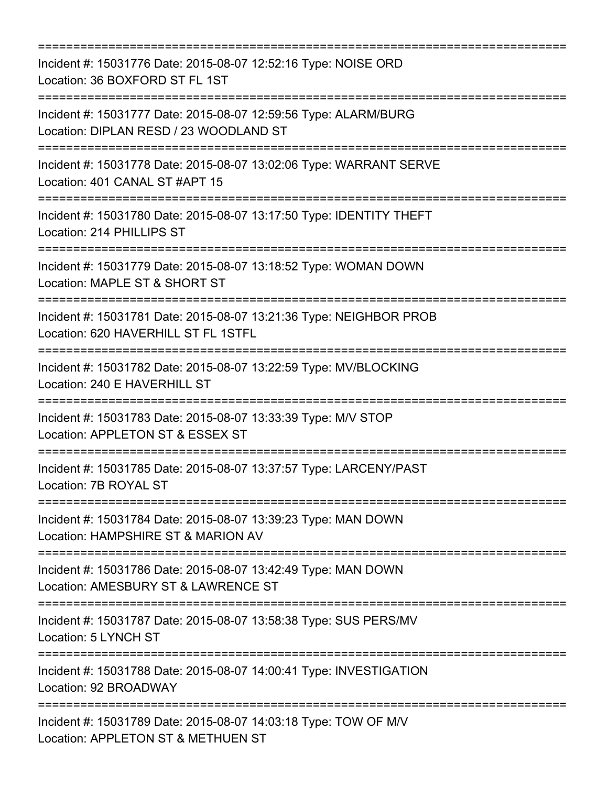| ========================                                                                                              |
|-----------------------------------------------------------------------------------------------------------------------|
| Incident #: 15031776 Date: 2015-08-07 12:52:16 Type: NOISE ORD<br>Location: 36 BOXFORD ST FL 1ST                      |
| Incident #: 15031777 Date: 2015-08-07 12:59:56 Type: ALARM/BURG<br>Location: DIPLAN RESD / 23 WOODLAND ST             |
| Incident #: 15031778 Date: 2015-08-07 13:02:06 Type: WARRANT SERVE<br>Location: 401 CANAL ST #APT 15<br>============= |
| Incident #: 15031780 Date: 2015-08-07 13:17:50 Type: IDENTITY THEFT<br>Location: 214 PHILLIPS ST                      |
| Incident #: 15031779 Date: 2015-08-07 13:18:52 Type: WOMAN DOWN<br>Location: MAPLE ST & SHORT ST                      |
| Incident #: 15031781 Date: 2015-08-07 13:21:36 Type: NEIGHBOR PROB<br>Location: 620 HAVERHILL ST FL 1STFL             |
| Incident #: 15031782 Date: 2015-08-07 13:22:59 Type: MV/BLOCKING<br>Location: 240 E HAVERHILL ST                      |
| Incident #: 15031783 Date: 2015-08-07 13:33:39 Type: M/V STOP<br>Location: APPLETON ST & ESSEX ST                     |
| Incident #: 15031785 Date: 2015-08-07 13:37:57 Type: LARCENY/PAST<br>Location: 7B ROYAL ST                            |
| Incident #: 15031784 Date: 2015-08-07 13:39:23 Type: MAN DOWN<br>Location: HAMPSHIRE ST & MARION AV                   |
| Incident #: 15031786 Date: 2015-08-07 13:42:49 Type: MAN DOWN<br>Location: AMESBURY ST & LAWRENCE ST                  |
| Incident #: 15031787 Date: 2015-08-07 13:58:38 Type: SUS PERS/MV<br>Location: 5 LYNCH ST                              |
| Incident #: 15031788 Date: 2015-08-07 14:00:41 Type: INVESTIGATION<br>Location: 92 BROADWAY                           |
| Incident #: 15031789 Date: 2015-08-07 14:03:18 Type: TOW OF M/V<br>Location: APPLETON ST & METHUEN ST                 |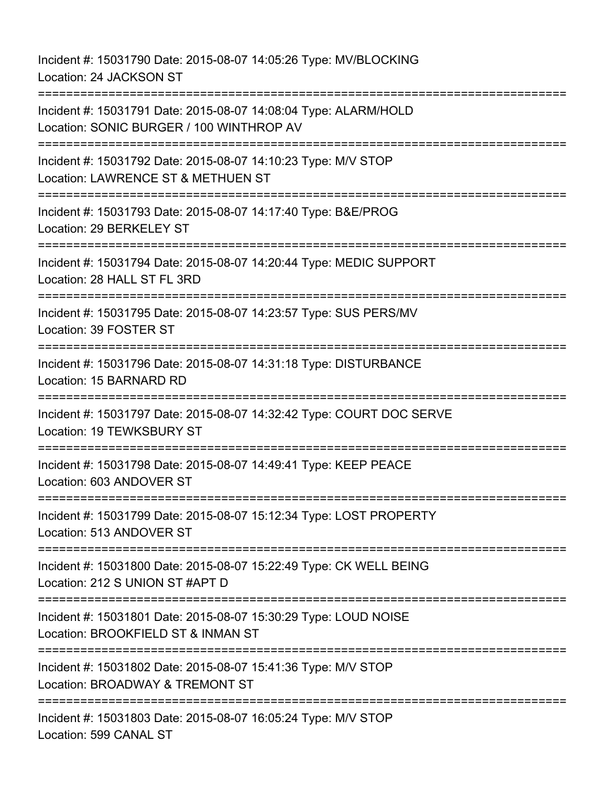Incident #: 15031790 Date: 2015-08-07 14:05:26 Type: MV/BLOCKING Location: 24 JACKSON ST =========================================================================== Incident #: 15031791 Date: 2015-08-07 14:08:04 Type: ALARM/HOLD Location: SONIC BURGER / 100 WINTHROP AV =========================================================================== Incident #: 15031792 Date: 2015-08-07 14:10:23 Type: M/V STOP Location: LAWRENCE ST & METHUEN ST =========================================================================== Incident #: 15031793 Date: 2015-08-07 14:17:40 Type: B&E/PROG Location: 29 BERKELEY ST =========================================================================== Incident #: 15031794 Date: 2015-08-07 14:20:44 Type: MEDIC SUPPORT Location: 28 HALL ST FL 3RD =========================================================================== Incident #: 15031795 Date: 2015-08-07 14:23:57 Type: SUS PERS/MV Location: 39 FOSTER ST =========================================================================== Incident #: 15031796 Date: 2015-08-07 14:31:18 Type: DISTURBANCE Location: 15 BARNARD RD =========================================================================== Incident #: 15031797 Date: 2015-08-07 14:32:42 Type: COURT DOC SERVE Location: 19 TEWKSBURY ST =========================================================================== Incident #: 15031798 Date: 2015-08-07 14:49:41 Type: KEEP PEACE Location: 603 ANDOVER ST =========================================================================== Incident #: 15031799 Date: 2015-08-07 15:12:34 Type: LOST PROPERTY Location: 513 ANDOVER ST =========================================================================== Incident #: 15031800 Date: 2015-08-07 15:22:49 Type: CK WELL BEING Location: 212 S UNION ST #APT D =========================================================================== Incident #: 15031801 Date: 2015-08-07 15:30:29 Type: LOUD NOISE Location: BROOKFIELD ST & INMAN ST =========================================================================== Incident #: 15031802 Date: 2015-08-07 15:41:36 Type: M/V STOP Location: BROADWAY & TREMONT ST =========================================================================== Incident #: 15031803 Date: 2015-08-07 16:05:24 Type: M/V STOP Location: 599 CANAL ST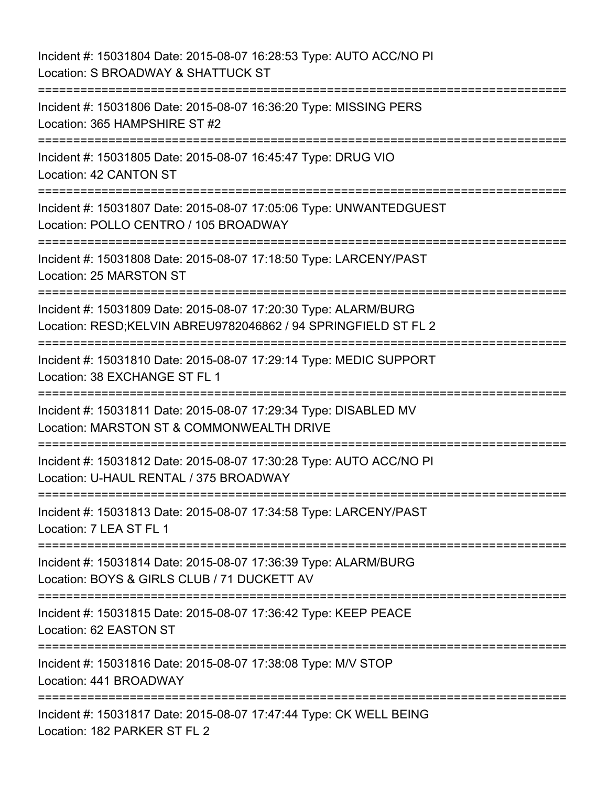Incident #: 15031804 Date: 2015-08-07 16:28:53 Type: AUTO ACC/NO PI Location: S BROADWAY & SHATTUCK ST =========================================================================== Incident #: 15031806 Date: 2015-08-07 16:36:20 Type: MISSING PERS Location: 365 HAMPSHIRE ST #2 =========================================================================== Incident #: 15031805 Date: 2015-08-07 16:45:47 Type: DRUG VIO Location: 42 CANTON ST =========================================================================== Incident #: 15031807 Date: 2015-08-07 17:05:06 Type: UNWANTEDGUEST Location: POLLO CENTRO / 105 BROADWAY =========================================================================== Incident #: 15031808 Date: 2015-08-07 17:18:50 Type: LARCENY/PAST Location: 25 MARSTON ST =========================================================================== Incident #: 15031809 Date: 2015-08-07 17:20:30 Type: ALARM/BURG Location: RESD;KELVIN ABREU9782046862 / 94 SPRINGFIELD ST FL 2 =========================================================================== Incident #: 15031810 Date: 2015-08-07 17:29:14 Type: MEDIC SUPPORT Location: 38 EXCHANGE ST FL 1 =========================================================================== Incident #: 15031811 Date: 2015-08-07 17:29:34 Type: DISABLED MV Location: MARSTON ST & COMMONWEALTH DRIVE =========================================================================== Incident #: 15031812 Date: 2015-08-07 17:30:28 Type: AUTO ACC/NO PI Location: U-HAUL RENTAL / 375 BROADWAY =========================================================================== Incident #: 15031813 Date: 2015-08-07 17:34:58 Type: LARCENY/PAST Location: 7 LEA ST FL 1 =========================================================================== Incident #: 15031814 Date: 2015-08-07 17:36:39 Type: ALARM/BURG Location: BOYS & GIRLS CLUB / 71 DUCKETT AV =========================================================================== Incident #: 15031815 Date: 2015-08-07 17:36:42 Type: KEEP PEACE Location: 62 EASTON ST =========================================================================== Incident #: 15031816 Date: 2015-08-07 17:38:08 Type: M/V STOP Location: 441 BROADWAY =========================================================================== Incident #: 15031817 Date: 2015-08-07 17:47:44 Type: CK WELL BEING Location: 182 PARKER ST FL 2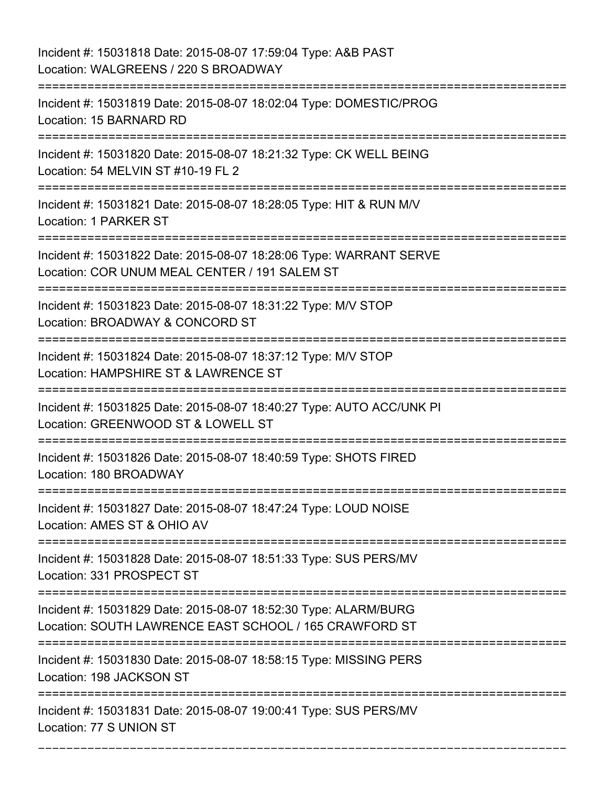## Incident #: 15031818 Date: 2015-08-07 17:59:04 Type: A&B PAST Location: WALGREENS / 220 S BROADWAY

=========================================================================== Incident #: 15031819 Date: 2015-08-07 18:02:04 Type: DOMESTIC/PROG Location: 15 BARNARD RD =========================================================================== Incident #: 15031820 Date: 2015-08-07 18:21:32 Type: CK WELL BEING Location: 54 MELVIN ST #10-19 FL 2 =========================================================================== Incident #: 15031821 Date: 2015-08-07 18:28:05 Type: HIT & RUN M/V Location: 1 PARKER ST =========================================================================== Incident #: 15031822 Date: 2015-08-07 18:28:06 Type: WARRANT SERVE Location: COR UNUM MEAL CENTER / 191 SALEM ST =========================================================================== Incident #: 15031823 Date: 2015-08-07 18:31:22 Type: M/V STOP Location: BROADWAY & CONCORD ST =========================================================================== Incident #: 15031824 Date: 2015-08-07 18:37:12 Type: M/V STOP Location: HAMPSHIRE ST & LAWRENCE ST =========================================================================== Incident #: 15031825 Date: 2015-08-07 18:40:27 Type: AUTO ACC/UNK PI Location: GREENWOOD ST & LOWELL ST =========================================================================== Incident #: 15031826 Date: 2015-08-07 18:40:59 Type: SHOTS FIRED Location: 180 BROADWAY =========================================================================== Incident #: 15031827 Date: 2015-08-07 18:47:24 Type: LOUD NOISE Location: AMES ST & OHIO AV =========================================================================== Incident #: 15031828 Date: 2015-08-07 18:51:33 Type: SUS PERS/MV Location: 331 PROSPECT ST =========================================================================== Incident #: 15031829 Date: 2015-08-07 18:52:30 Type: ALARM/BURG Location: SOUTH LAWRENCE EAST SCHOOL / 165 CRAWFORD ST =========================================================================== Incident #: 15031830 Date: 2015-08-07 18:58:15 Type: MISSING PERS Location: 198 JACKSON ST =========================================================================== Incident #: 15031831 Date: 2015-08-07 19:00:41 Type: SUS PERS/MV Location: 77 S UNION ST

===========================================================================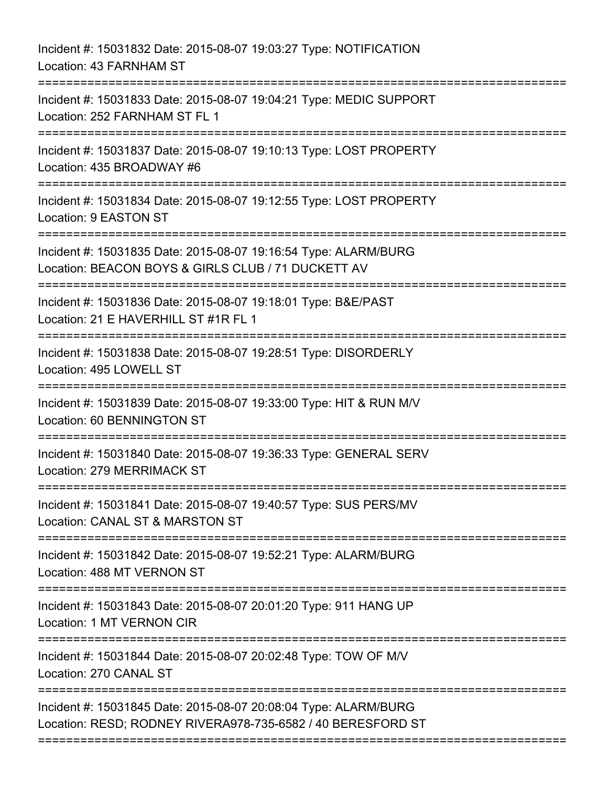| Incident #: 15031832 Date: 2015-08-07 19:03:27 Type: NOTIFICATION<br>Location: 43 FARNHAM ST                                   |
|--------------------------------------------------------------------------------------------------------------------------------|
| Incident #: 15031833 Date: 2015-08-07 19:04:21 Type: MEDIC SUPPORT<br>Location: 252 FARNHAM ST FL 1<br>:=====================  |
| Incident #: 15031837 Date: 2015-08-07 19:10:13 Type: LOST PROPERTY<br>Location: 435 BROADWAY #6                                |
| Incident #: 15031834 Date: 2015-08-07 19:12:55 Type: LOST PROPERTY<br>Location: 9 EASTON ST                                    |
| Incident #: 15031835 Date: 2015-08-07 19:16:54 Type: ALARM/BURG<br>Location: BEACON BOYS & GIRLS CLUB / 71 DUCKETT AV          |
| Incident #: 15031836 Date: 2015-08-07 19:18:01 Type: B&E/PAST<br>Location: 21 E HAVERHILL ST #1R FL 1                          |
| Incident #: 15031838 Date: 2015-08-07 19:28:51 Type: DISORDERLY<br>Location: 495 LOWELL ST                                     |
| Incident #: 15031839 Date: 2015-08-07 19:33:00 Type: HIT & RUN M/V<br>Location: 60 BENNINGTON ST                               |
| Incident #: 15031840 Date: 2015-08-07 19:36:33 Type: GENERAL SERV<br>Location: 279 MERRIMACK ST                                |
| Incident #: 15031841 Date: 2015-08-07 19:40:57 Type: SUS PERS/MV<br>Location: CANAL ST & MARSTON ST                            |
| Incident #: 15031842 Date: 2015-08-07 19:52:21 Type: ALARM/BURG<br>Location: 488 MT VERNON ST                                  |
| Incident #: 15031843 Date: 2015-08-07 20:01:20 Type: 911 HANG UP<br><b>Location: 1 MT VERNON CIR</b>                           |
| Incident #: 15031844 Date: 2015-08-07 20:02:48 Type: TOW OF M/V<br>Location: 270 CANAL ST                                      |
| Incident #: 15031845 Date: 2015-08-07 20:08:04 Type: ALARM/BURG<br>Location: RESD; RODNEY RIVERA978-735-6582 / 40 BERESFORD ST |
|                                                                                                                                |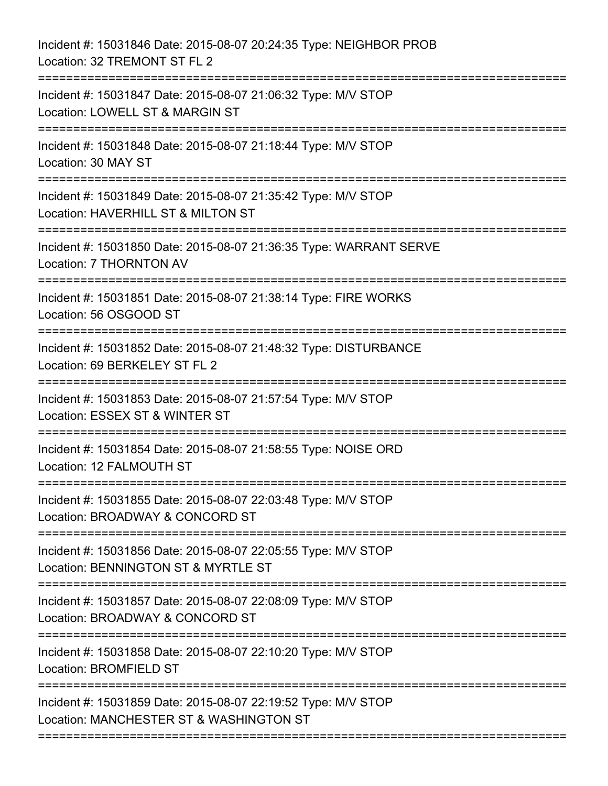| Incident #: 15031846 Date: 2015-08-07 20:24:35 Type: NEIGHBOR PROB<br>Location: 32 TREMONT ST FL 2       |
|----------------------------------------------------------------------------------------------------------|
| Incident #: 15031847 Date: 2015-08-07 21:06:32 Type: M/V STOP<br>Location: LOWELL ST & MARGIN ST         |
| Incident #: 15031848 Date: 2015-08-07 21:18:44 Type: M/V STOP<br>Location: 30 MAY ST                     |
| Incident #: 15031849 Date: 2015-08-07 21:35:42 Type: M/V STOP<br>Location: HAVERHILL ST & MILTON ST      |
| Incident #: 15031850 Date: 2015-08-07 21:36:35 Type: WARRANT SERVE<br>Location: 7 THORNTON AV            |
| Incident #: 15031851 Date: 2015-08-07 21:38:14 Type: FIRE WORKS<br>Location: 56 OSGOOD ST                |
| Incident #: 15031852 Date: 2015-08-07 21:48:32 Type: DISTURBANCE<br>Location: 69 BERKELEY ST FL 2        |
| Incident #: 15031853 Date: 2015-08-07 21:57:54 Type: M/V STOP<br>Location: ESSEX ST & WINTER ST          |
| Incident #: 15031854 Date: 2015-08-07 21:58:55 Type: NOISE ORD<br>Location: 12 FALMOUTH ST               |
| Incident #: 15031855 Date: 2015-08-07 22:03:48 Type: M/V STOP<br>Location: BROADWAY & CONCORD ST         |
| Incident #: 15031856 Date: 2015-08-07 22:05:55 Type: M/V STOP<br>Location: BENNINGTON ST & MYRTLE ST     |
| Incident #: 15031857 Date: 2015-08-07 22:08:09 Type: M/V STOP<br>Location: BROADWAY & CONCORD ST         |
| Incident #: 15031858 Date: 2015-08-07 22:10:20 Type: M/V STOP<br>Location: BROMFIELD ST                  |
| Incident #: 15031859 Date: 2015-08-07 22:19:52 Type: M/V STOP<br>Location: MANCHESTER ST & WASHINGTON ST |
|                                                                                                          |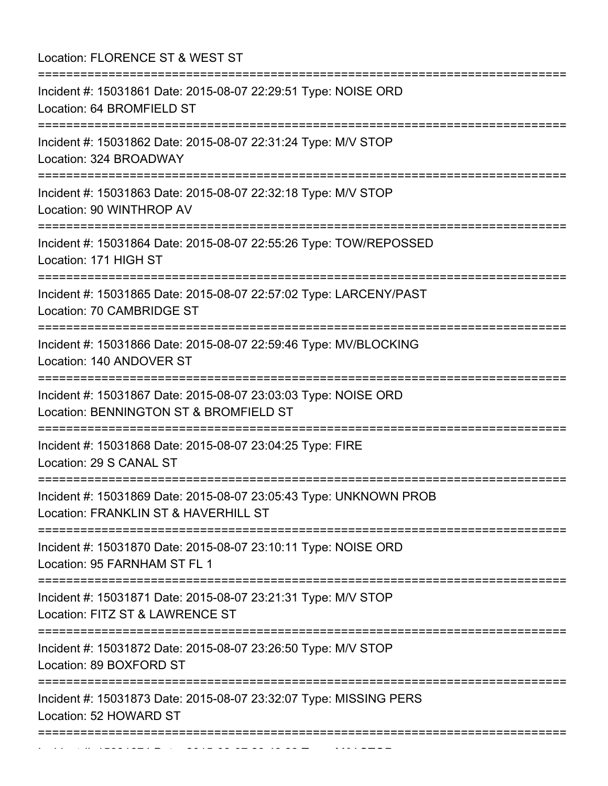Location: FLORENCE ST & WEST ST =========================================================================== Incident #: 15031861 Date: 2015-08-07 22:29:51 Type: NOISE ORD Location: 64 BROMFIELD ST =========================================================================== Incident #: 15031862 Date: 2015-08-07 22:31:24 Type: M/V STOP Location: 324 BROADWAY =========================================================================== Incident #: 15031863 Date: 2015-08-07 22:32:18 Type: M/V STOP Location: 90 WINTHROP AV =========================================================================== Incident #: 15031864 Date: 2015-08-07 22:55:26 Type: TOW/REPOSSED Location: 171 HIGH ST =========================================================================== Incident #: 15031865 Date: 2015-08-07 22:57:02 Type: LARCENY/PAST Location: 70 CAMBRIDGE ST =========================================================================== Incident #: 15031866 Date: 2015-08-07 22:59:46 Type: MV/BLOCKING Location: 140 ANDOVER ST =========================================================================== Incident #: 15031867 Date: 2015-08-07 23:03:03 Type: NOISE ORD Location: BENNINGTON ST & BROMFIELD ST =========================================================================== Incident #: 15031868 Date: 2015-08-07 23:04:25 Type: FIRE Location: 29 S CANAL ST =========================================================================== Incident #: 15031869 Date: 2015-08-07 23:05:43 Type: UNKNOWN PROB Location: FRANKLIN ST & HAVERHILL ST =========================================================================== Incident #: 15031870 Date: 2015-08-07 23:10:11 Type: NOISE ORD Location: 95 FARNHAM ST FL 1 =========================================================================== Incident #: 15031871 Date: 2015-08-07 23:21:31 Type: M/V STOP Location: FITZ ST & LAWRENCE ST =========================================================================== Incident #: 15031872 Date: 2015-08-07 23:26:50 Type: M/V STOP Location: 89 BOXFORD ST =========================================================================== Incident #: 15031873 Date: 2015-08-07 23:32:07 Type: MISSING PERS Location: 52 HOWARD ST ===========================================================================

Incident #: 15031874 Date: 2015 08 07 23:40:23 Type: M/V STOP